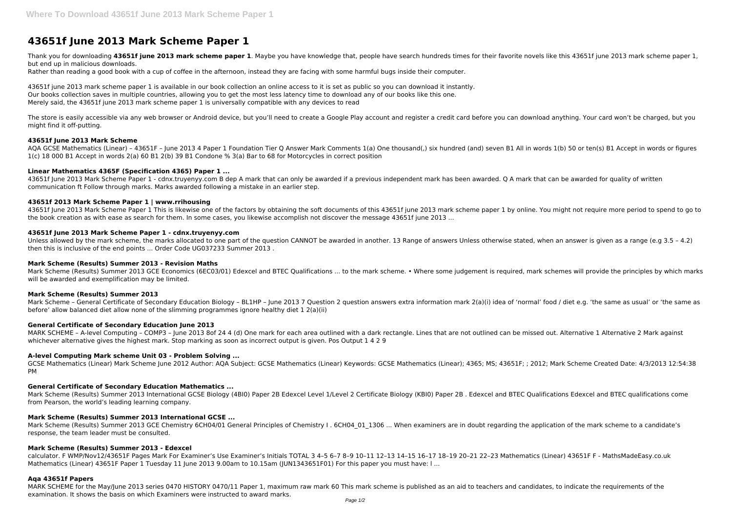# **43651f June 2013 Mark Scheme Paper 1**

Thank you for downloading **43651f june 2013 mark scheme paper 1**. Maybe you have knowledge that, people have search hundreds times for their favorite novels like this 43651f june 2013 mark scheme paper 1, but end up in malicious downloads.

Rather than reading a good book with a cup of coffee in the afternoon, instead they are facing with some harmful bugs inside their computer.

The store is easily accessible via any web browser or Android device, but you'll need to create a Google Play account and register a credit card before you can download anything. Your card won't be charged, but you might find it off-putting.

43651f june 2013 mark scheme paper 1 is available in our book collection an online access to it is set as public so you can download it instantly. Our books collection saves in multiple countries, allowing you to get the most less latency time to download any of our books like this one. Merely said, the 43651f june 2013 mark scheme paper 1 is universally compatible with any devices to read

43651f June 2013 Mark Scheme Paper 1 - cdnx.truyenyy.com B dep A mark that can only be awarded if a previous independent mark has been awarded. Q A mark that can be awarded for quality of written communication ft Follow through marks. Marks awarded following a mistake in an earlier step.

43651f June 2013 Mark Scheme Paper 1 This is likewise one of the factors by obtaining the soft documents of this 43651f june 2013 mark scheme paper 1 by online. You might not require more period to spend to go to the book creation as with ease as search for them. In some cases, you likewise accomplish not discover the message 43651f june 2013 ...

### **43651f June 2013 Mark Scheme**

Unless allowed by the mark scheme, the marks allocated to one part of the question CANNOT be awarded in another. 13 Range of answers Unless otherwise stated, when an answer is given as a range (e.g 3.5 - 4.2) then this is inclusive of the end points ... Order Code UG037233 Summer 2013 .

AQA GCSE Mathematics (Linear) – 43651F – June 2013 4 Paper 1 Foundation Tier Q Answer Mark Comments 1(a) One thousand(,) six hundred (and) seven B1 All in words 1(b) 50 or ten(s) B1 Accept in words or figures 1(c) 18 000 B1 Accept in words 2(a) 60 B1 2(b) 39 B1 Condone % 3(a) Bar to 68 for Motorcycles in correct position

Mark Scheme (Results) Summer 2013 GCE Economics (6EC03/01) Edexcel and BTEC Oualifications ... to the mark scheme. • Where some judgement is required, mark schemes will provide the principles by which marks will be awarded and exemplification may be limited.

### **Linear Mathematics 4365F (Specification 4365) Paper 1 ...**

Mark Scheme – General Certificate of Secondary Education Biology – BL1HP – June 2013 7 Question 2 question answers extra information mark 2(a)(i) idea of 'normal' food / diet e.g. 'the same as usual' or 'the same as before' allow balanced diet allow none of the slimming programmes ignore healthy diet 1 2(a)(ii)

## **43651f 2013 Mark Scheme Paper 1 | www.rrihousing**

GCSE Mathematics (Linear) Mark Scheme June 2012 Author: AQA Subject: GCSE Mathematics (Linear) Keywords: GCSE Mathematics (Linear); 4365; MS; 43651F; ; 2012; Mark Scheme Created Date: 4/3/2013 12:54:38 PM

## **43651f June 2013 Mark Scheme Paper 1 - cdnx.truyenyy.com**

Mark Scheme (Results) Summer 2013 GCE Chemistry 6CH04/01 General Principles of Chemistry I . 6CH04\_01\_1306 ... When examiners are in doubt regarding the application of the mark scheme to a candidate's response, the team leader must be consulted.

MARK SCHEME for the May/June 2013 series 0470 HISTORY 0470/11 Paper 1, maximum raw mark 60 This mark scheme is published as an aid to teachers and candidates, to indicate the requirements of the examination. It shows the basis on which Examiners were instructed to award marks.

### **Mark Scheme (Results) Summer 2013 - Revision Maths**

### **Mark Scheme (Results) Summer 2013**

### **General Certificate of Secondary Education June 2013**

MARK SCHEME - A-level Computing - COMP3 - June 2013 8of 24 4 (d) One mark for each area outlined with a dark rectangle. Lines that are not outlined can be missed out. Alternative 1 Alternative 2 Mark against whichever alternative gives the highest mark. Stop marking as soon as incorrect output is given. Pos Output 1 4 2 9

### **A-level Computing Mark scheme Unit 03 - Problem Solving ...**

### **General Certificate of Secondary Education Mathematics ...**

Mark Scheme (Results) Summer 2013 International GCSE Biology (4BI0) Paper 2B Edexcel Level 1/Level 2 Certificate Biology (KBI0) Paper 2B . Edexcel and BTEC Qualifications Edexcel and BTEC qualifications come from Pearson, the world's leading learning company.

### **Mark Scheme (Results) Summer 2013 International GCSE ...**

## **Mark Scheme (Results) Summer 2013 - Edexcel**

calculator. F WMP/Nov12/43651F Pages Mark For Examiner's Use Examiner's Initials TOTAL 3 4–5 6–7 8–9 10–11 12–13 14–15 16–17 18–19 20–21 22–23 Mathematics (Linear) 43651F F - MathsMadeEasy.co.uk Mathematics (Linear) 43651F Paper 1 Tuesday 11 June 2013 9.00am to 10.15am (JUN1343651F01) For this paper you must have: l ...

### **Aqa 43651f Papers**